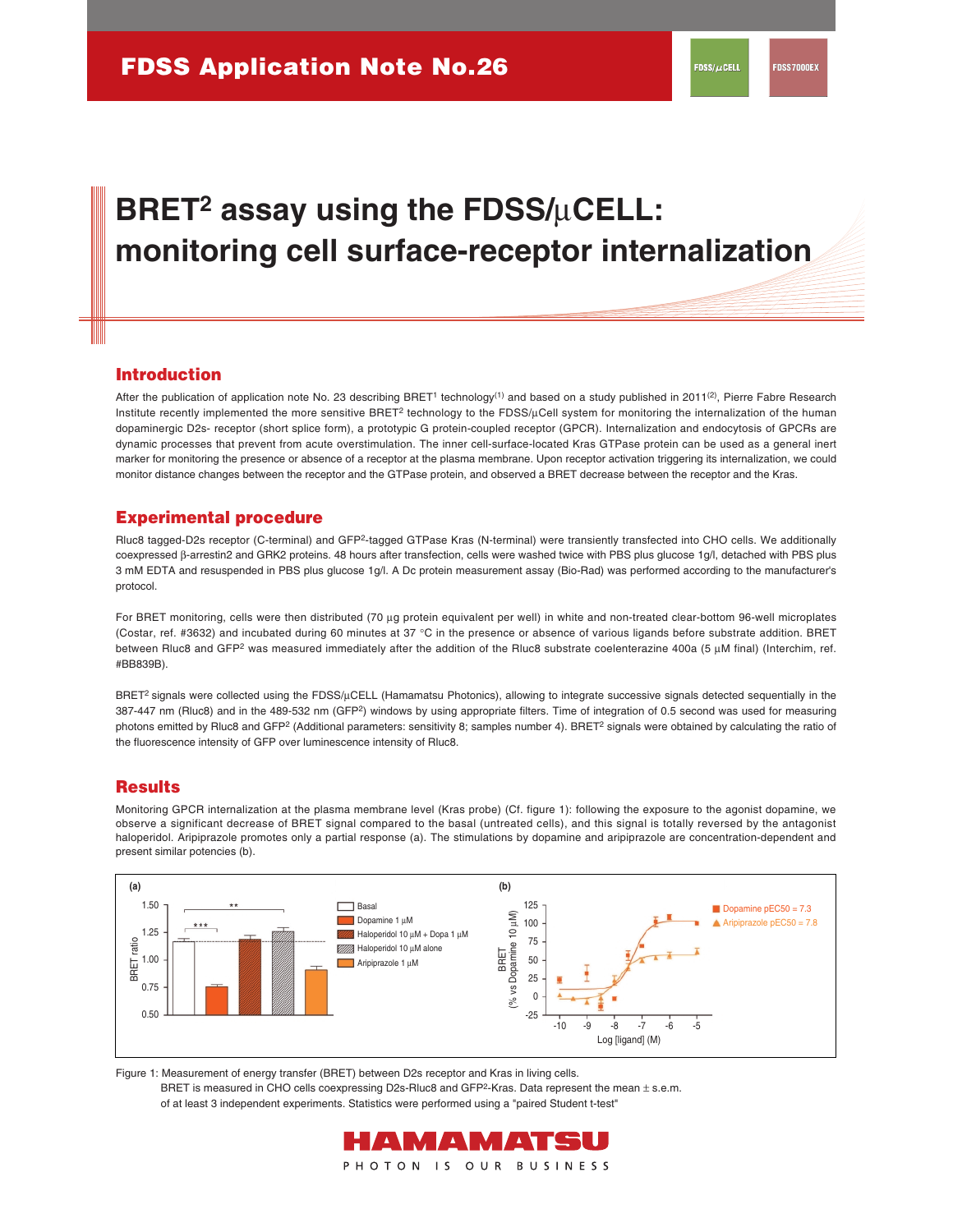# BRET<sup>2</sup> assay using the FDSS/µCELL: **monitoring cell surface-receptor internalization**

#### **Introduction**

After the publication of application note No. 23 describing BRET<sup>1</sup> technology<sup>(1)</sup> and based on a study published in 2011<sup>(2)</sup>, Pierre Fabre Research Institute recently implemented the more sensitive BRET<sup>2</sup> technology to the FDSS/µCell system for monitoring the internalization of the human dopaminergic D2s- receptor (short splice form), a prototypic G protein-coupled receptor (GPCR). Internalization and endocytosis of GPCRs are dynamic processes that prevent from acute overstimulation. The inner cell-surface-located Kras GTPase protein can be used as a general inert marker for monitoring the presence or absence of a receptor at the plasma membrane. Upon receptor activation triggering its internalization, we could monitor distance changes between the receptor and the GTPase protein, and observed a BRET decrease between the receptor and the Kras.

#### **Experimental procedure**

Rluc8 tagged-D2s receptor (C-terminal) and GFP2-tagged GTPase Kras (N-terminal) were transiently transfected into CHO cells. We additionally coexpressed β-arrestin2 and GRK2 proteins. 48 hours after transfection, cells were washed twice with PBS plus glucose 1g/l, detached with PBS plus 3 mM EDTA and resuspended in PBS plus glucose 1g/l. A Dc protein measurement assay (Bio-Rad) was performed according to the manufacturer's protocol.

For BRET monitoring, cells were then distributed (70 µg protein equivalent per well) in white and non-treated clear-bottom 96-well microplates (Costar, ref. #3632) and incubated during 60 minutes at 37 °C in the presence or absence of various ligands before substrate addition. BRET between Rluc8 and GFP<sup>2</sup> was measured immediately after the addition of the Rluc8 substrate coelenterazine 400a (5 µM final) (Interchim, ref. #BB839B).

BRET<sup>2</sup> signals were collected using the FDSS/µCELL (Hamamatsu Photonics), allowing to integrate successive signals detected sequentially in the 387-447 nm (Rluc8) and in the 489-532 nm (GFP2) windows by using appropriate filters. Time of integration of 0.5 second was used for measuring photons emitted by Rluc8 and GFP<sup>2</sup> (Additional parameters: sensitivity 8; samples number 4). BRET<sup>2</sup> signals were obtained by calculating the ratio of the fluorescence intensity of GFP over luminescence intensity of Rluc8.

#### **Results**

Monitoring GPCR internalization at the plasma membrane level (Kras probe) (Cf. figure 1): following the exposure to the agonist dopamine, we observe a significant decrease of BRET signal compared to the basal (untreated cells), and this signal is totally reversed by the antagonist haloperidol. Aripiprazole promotes only a partial response (a). The stimulations by dopamine and aripiprazole are concentration-dependent and present similar potencies (b).



Figure 1: Measurement of energy transfer (BRET) between D2s receptor and Kras in living cells.

BRET is measured in CHO cells coexpressing D2s-Rluc8 and GFP<sup>2</sup>-Kras. Data represent the mean  $\pm$  s.e.m. of at least 3 independent experiments. Statistics were performed using a "paired Student t-test"